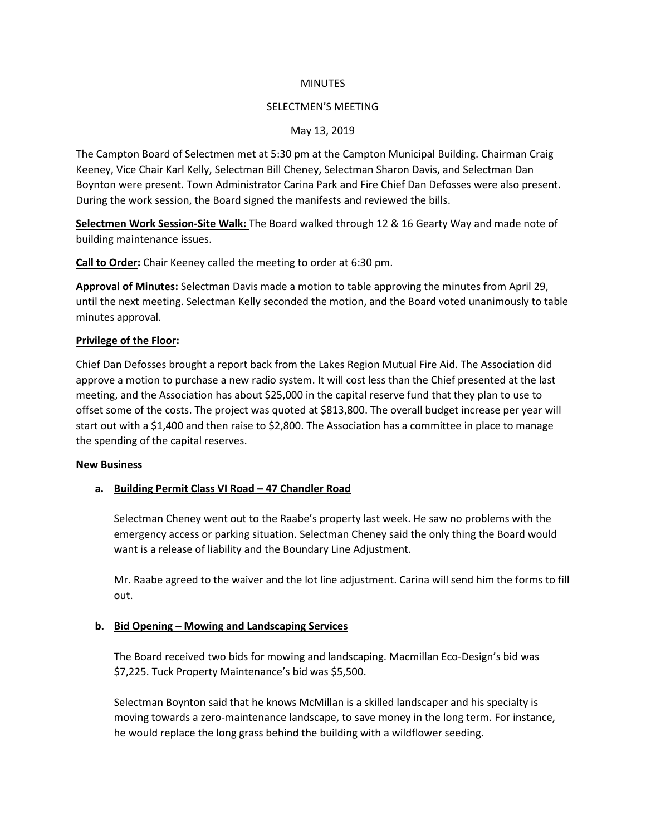### **MINUTES**

### SELECTMEN'S MEETING

## May 13, 2019

The Campton Board of Selectmen met at 5:30 pm at the Campton Municipal Building. Chairman Craig Keeney, Vice Chair Karl Kelly, Selectman Bill Cheney, Selectman Sharon Davis, and Selectman Dan Boynton were present. Town Administrator Carina Park and Fire Chief Dan Defosses were also present. During the work session, the Board signed the manifests and reviewed the bills.

**Selectmen Work Session-Site Walk:** The Board walked through 12 & 16 Gearty Way and made note of building maintenance issues.

**Call to Order:** Chair Keeney called the meeting to order at 6:30 pm.

**Approval of Minutes:** Selectman Davis made a motion to table approving the minutes from April 29, until the next meeting. Selectman Kelly seconded the motion, and the Board voted unanimously to table minutes approval.

### **Privilege of the Floor:**

Chief Dan Defosses brought a report back from the Lakes Region Mutual Fire Aid. The Association did approve a motion to purchase a new radio system. It will cost less than the Chief presented at the last meeting, and the Association has about \$25,000 in the capital reserve fund that they plan to use to offset some of the costs. The project was quoted at \$813,800. The overall budget increase per year will start out with a \$1,400 and then raise to \$2,800. The Association has a committee in place to manage the spending of the capital reserves.

### **New Business**

# **a. Building Permit Class VI Road – 47 Chandler Road**

Selectman Cheney went out to the Raabe's property last week. He saw no problems with the emergency access or parking situation. Selectman Cheney said the only thing the Board would want is a release of liability and the Boundary Line Adjustment.

Mr. Raabe agreed to the waiver and the lot line adjustment. Carina will send him the forms to fill out.

# **b. Bid Opening – Mowing and Landscaping Services**

The Board received two bids for mowing and landscaping. Macmillan Eco-Design's bid was \$7,225. Tuck Property Maintenance's bid was \$5,500.

Selectman Boynton said that he knows McMillan is a skilled landscaper and his specialty is moving towards a zero-maintenance landscape, to save money in the long term. For instance, he would replace the long grass behind the building with a wildflower seeding.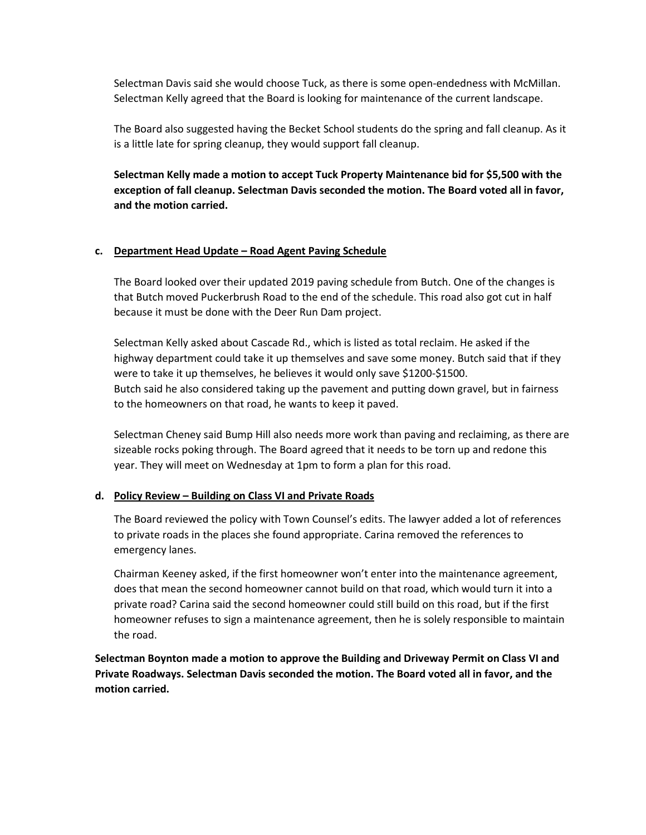Selectman Davis said she would choose Tuck, as there is some open-endedness with McMillan. Selectman Kelly agreed that the Board is looking for maintenance of the current landscape.

The Board also suggested having the Becket School students do the spring and fall cleanup. As it is a little late for spring cleanup, they would support fall cleanup.

**Selectman Kelly made a motion to accept Tuck Property Maintenance bid for \$5,500 with the exception of fall cleanup. Selectman Davis seconded the motion. The Board voted all in favor, and the motion carried.**

### **c. Department Head Update – Road Agent Paving Schedule**

The Board looked over their updated 2019 paving schedule from Butch. One of the changes is that Butch moved Puckerbrush Road to the end of the schedule. This road also got cut in half because it must be done with the Deer Run Dam project.

Selectman Kelly asked about Cascade Rd., which is listed as total reclaim. He asked if the highway department could take it up themselves and save some money. Butch said that if they were to take it up themselves, he believes it would only save \$1200-\$1500. Butch said he also considered taking up the pavement and putting down gravel, but in fairness to the homeowners on that road, he wants to keep it paved.

Selectman Cheney said Bump Hill also needs more work than paving and reclaiming, as there are sizeable rocks poking through. The Board agreed that it needs to be torn up and redone this year. They will meet on Wednesday at 1pm to form a plan for this road.

### **d. Policy Review – Building on Class VI and Private Roads**

The Board reviewed the policy with Town Counsel's edits. The lawyer added a lot of references to private roads in the places she found appropriate. Carina removed the references to emergency lanes.

Chairman Keeney asked, if the first homeowner won't enter into the maintenance agreement, does that mean the second homeowner cannot build on that road, which would turn it into a private road? Carina said the second homeowner could still build on this road, but if the first homeowner refuses to sign a maintenance agreement, then he is solely responsible to maintain the road.

**Selectman Boynton made a motion to approve the Building and Driveway Permit on Class VI and Private Roadways. Selectman Davis seconded the motion. The Board voted all in favor, and the motion carried.**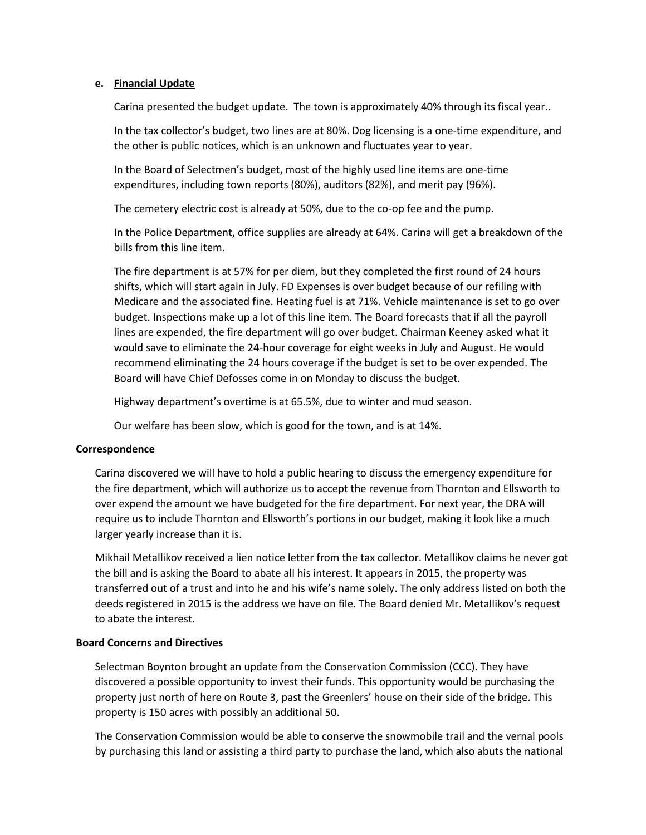### **e. Financial Update**

Carina presented the budget update. The town is approximately 40% through its fiscal year..

In the tax collector's budget, two lines are at 80%. Dog licensing is a one-time expenditure, and the other is public notices, which is an unknown and fluctuates year to year.

In the Board of Selectmen's budget, most of the highly used line items are one-time expenditures, including town reports (80%), auditors (82%), and merit pay (96%).

The cemetery electric cost is already at 50%, due to the co-op fee and the pump.

In the Police Department, office supplies are already at 64%. Carina will get a breakdown of the bills from this line item.

The fire department is at 57% for per diem, but they completed the first round of 24 hours shifts, which will start again in July. FD Expenses is over budget because of our refiling with Medicare and the associated fine. Heating fuel is at 71%. Vehicle maintenance is set to go over budget. Inspections make up a lot of this line item. The Board forecasts that if all the payroll lines are expended, the fire department will go over budget. Chairman Keeney asked what it would save to eliminate the 24-hour coverage for eight weeks in July and August. He would recommend eliminating the 24 hours coverage if the budget is set to be over expended. The Board will have Chief Defosses come in on Monday to discuss the budget.

Highway department's overtime is at 65.5%, due to winter and mud season.

Our welfare has been slow, which is good for the town, and is at 14%.

### **Correspondence**

Carina discovered we will have to hold a public hearing to discuss the emergency expenditure for the fire department, which will authorize us to accept the revenue from Thornton and Ellsworth to over expend the amount we have budgeted for the fire department. For next year, the DRA will require us to include Thornton and Ellsworth's portions in our budget, making it look like a much larger yearly increase than it is.

Mikhail Metallikov received a lien notice letter from the tax collector. Metallikov claims he never got the bill and is asking the Board to abate all his interest. It appears in 2015, the property was transferred out of a trust and into he and his wife's name solely. The only address listed on both the deeds registered in 2015 is the address we have on file. The Board denied Mr. Metallikov's request to abate the interest.

### **Board Concerns and Directives**

Selectman Boynton brought an update from the Conservation Commission (CCC). They have discovered a possible opportunity to invest their funds. This opportunity would be purchasing the property just north of here on Route 3, past the Greenlers' house on their side of the bridge. This property is 150 acres with possibly an additional 50.

The Conservation Commission would be able to conserve the snowmobile trail and the vernal pools by purchasing this land or assisting a third party to purchase the land, which also abuts the national